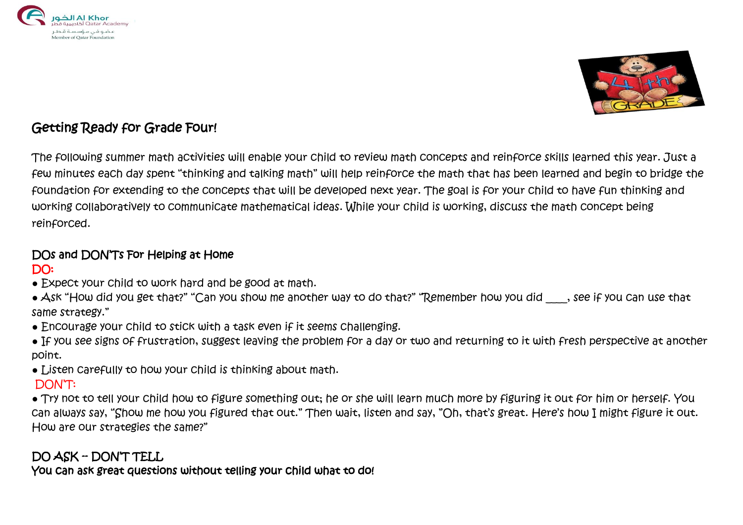



# Getting Ready for Grade Four!

The following summer math activities will enable your child to review math concepts and reinforce skills learned this year. Just a few minutes each day spent "thinking and talking math" will help reinforce the math that has been learned and begin to bridge the foundation for extending to the concepts that will be developed next year. The goal is for your child to have fun thinking and working collaboratively to communicate mathematical ideas. While your child is working, discuss the math concept being reinforced.

# DOs and DON'Ts For Helping at Home

### DO:

- Expect your child to work hard and be good at math.
- Ask "How did you get that?" "Can you show me another way to do that?" "Remember how you did \_\_\_, see if you can use that same strategy."
- Encourage your child to stick with a task even if it seems challenging.
- If you see signs of frustration, suggest leaving the problem for a day or two and returning to it with fresh perspective at another point.
- Listen carefully to how your child is thinking about math.

## DON'T:

● Try not to tell your child how to figure something out; he or she will learn much more by figuring it out for him or herself. You can always say, "Show me how you figured that out." Then wait, listen and say, "Oh, that's great. Here's how I might figure it out. How are our strategies the same?"

# DO ASK -- DON'T TELL

You can ask great questions without telling your child what to do!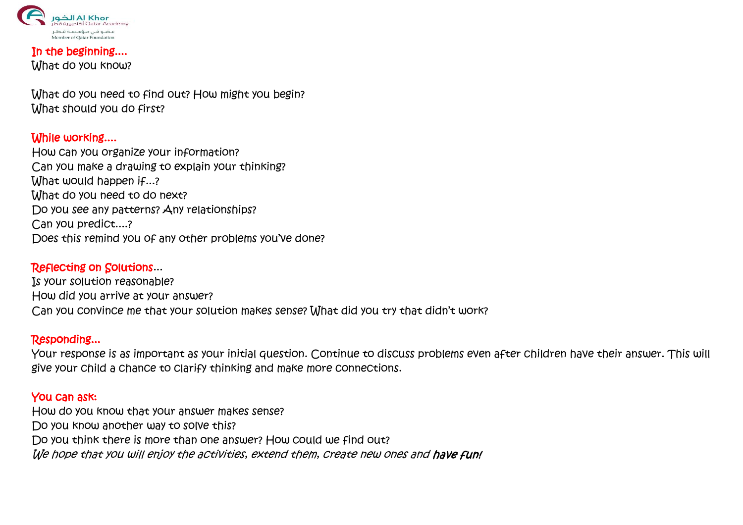

#### In the beginning.... **What do you know?**

What do you need to find out? How might you begin? What should you do first?

#### While working....

How can you organize your information? Can you make a drawing to explain your thinking? What would happen if...? What do you need to do next? Do you see any patterns? Any relationships? Can you predict....? Does this remind you of any other problems you've done?

#### Reflecting on Solutions...

Is your solution reasonable? How did you arrive at your answer? Can you convince me that your solution makes sense? What did you try that didn't work?

#### Responding...

Your response is as important as your initial question. Continue to discuss problems even after children have their answer. This will give your child a chance to clarify thinking and make more connections.

#### You can ask:

How do you know that your answer makes sense? Do you know another way to solve this? Do you think there is more than one answer? How could we find out? We hope that you will enjoy the activities, extend them, create new ones and have fun!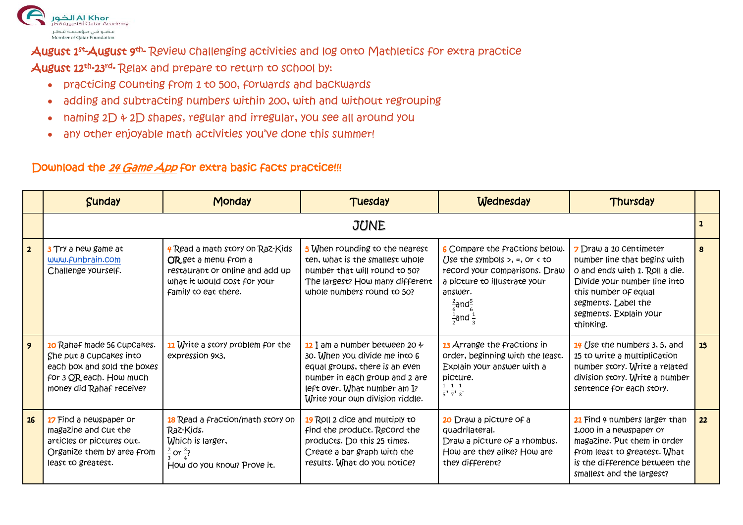

August 1st-August 9th- Review challenging activities and log onto Mathletics for extra practice August 12<sup>th</sup>-23<sup>rd</sup>- Relax and prepare to return to school by:

- practicing counting from 1 to 500, forwards and backwards
- adding and subtracting numbers within 200, with and without regrouping
- naming  $2D + 2D$  shapes, regular and irregular, you see all around you
- any other enjoyable math activities you've done this summer!

## Download the 24 Game App for extra basic facts practice!!!

|                | <b>Sunday</b>                                                                                                                                      | <b>Monday</b>                                                                                                                                            | Tuesday                                                                                                                                                                                                    | Wednesday                                                                                                                                                                                                              | Thursday                                                                                                                                                                                                       |    |
|----------------|----------------------------------------------------------------------------------------------------------------------------------------------------|----------------------------------------------------------------------------------------------------------------------------------------------------------|------------------------------------------------------------------------------------------------------------------------------------------------------------------------------------------------------------|------------------------------------------------------------------------------------------------------------------------------------------------------------------------------------------------------------------------|----------------------------------------------------------------------------------------------------------------------------------------------------------------------------------------------------------------|----|
|                | <b>JUNE</b>                                                                                                                                        |                                                                                                                                                          |                                                                                                                                                                                                            |                                                                                                                                                                                                                        |                                                                                                                                                                                                                | 2  |
| $\overline{2}$ | 3 Try a new game at<br>www.funbrain.com<br>Challenge yourself.                                                                                     | <b>4 Read a math story on Raz-Kids</b><br>OR get a menu from a<br>restaurant or online and add up<br>what it would cost for your<br>family to eat there. | 5 When rounding to the nearest<br>ten, what is the smallest whole<br>number that will round to 50?<br>The largest? How many different<br>whole numbers round to 50?                                        | 6 Compare the fractions below.<br>Use the symbols $>$ , =, or $<$ to<br>record your comparisons. Draw<br>a picture to illustrate your<br>answer.<br>$\frac{2}{6}$ and $\frac{5}{6}$<br>$\frac{1}{2}$ and $\frac{1}{3}$ | 7 Draw a 10 Centimeter<br>number line that begins with<br>o and ends with 1. Roll a die.<br>Divide your number line into<br>this number of equal<br>segments. Label the<br>segments. Explain your<br>thinking. | 8  |
|                | <b>10</b> Rahaf made 56 CupCakes.<br>She put 8 CupCakes into<br>each box and sold the boxes<br>for 3 QR each. How much<br>money did Rahaf receive? | 11 Write a story problem for the<br>expression 9x3.                                                                                                      | 12 I am a number between 20 $\div$<br>30. When you divide me into 6<br>equal groups, there is an even<br>number in each group and 2 are<br>left over. What number am I?<br>Write your own division riddle. | 13 Arrange the Fractions in<br>order, beginning with the least.<br>Explain your answer with a<br>picture.<br>$\frac{1}{5}, \frac{1}{7}, \frac{1}{3}$                                                                   | 14 Use the numbers 3, 5, and<br>15 to write a multiplication<br>number story. Write a related<br>division story. Write a number<br>sentence for each story.                                                    | 15 |
| <b>16</b>      | 17 Find a newspaper or<br>magazine and cut the<br>articles or pictures out.<br>Organize them by area from<br>least to greatest.                    | 18 Read a fraction/math story on<br>Raz-Kids.<br>Which is larger,<br>$\frac{2}{7}$ or $\frac{3}{7}$<br>How do you know? Prove it.                        | 19 Roll 2 dice and multiply to<br>find the product. Record the<br>products. Do this 25 times.<br>Create a bar graph with the<br>results. What do you notice?                                               | 20 Draw a picture of a<br>quadrilateral.<br>Draw a picture of a rhombus.<br>How are they alike? How are<br>they different?                                                                                             | 21 Find 4 numbers larger than<br>1,000 in a newspaper or<br>magazine. Put them in order<br>from least to greatest. What<br>is the difference between the<br>smallest and the largest?                          | 22 |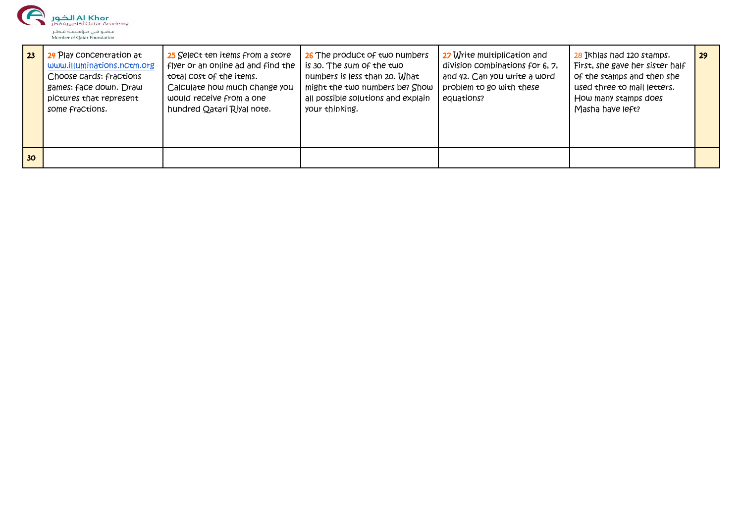

| $\overline{23}$ | 24 Play concentration at<br>www.illuminations.nctm.org<br>Choose cards: fractions<br>games: face down. Draw<br>pictures that represent<br>some fractions. | 25 Select ten items from a store<br>flyer or an online ad and find the<br>total cost of the items.<br>Calculate how much change you<br>would receive from a one<br>hundred Qatari Riyal note. | 26 The product of two numbers<br>is 30. The sum of the two<br>numbers is less than 20. What<br>might the two numbers be? Show<br>all possible solutions and explain<br>your thinking. | 27 Write multiplication and<br>division combinations for 6, 7,<br>and 42. Can you write a word<br>problem to go with these<br>equations? | 28 Ikhlas had 120 stamps.<br>First, she gave her sister half<br>of the stamps and then she<br>used three to mail letters.<br>How many stamps does<br>Masha have left? | 29 |
|-----------------|-----------------------------------------------------------------------------------------------------------------------------------------------------------|-----------------------------------------------------------------------------------------------------------------------------------------------------------------------------------------------|---------------------------------------------------------------------------------------------------------------------------------------------------------------------------------------|------------------------------------------------------------------------------------------------------------------------------------------|-----------------------------------------------------------------------------------------------------------------------------------------------------------------------|----|
| 30 <sub>o</sub> |                                                                                                                                                           |                                                                                                                                                                                               |                                                                                                                                                                                       |                                                                                                                                          |                                                                                                                                                                       |    |